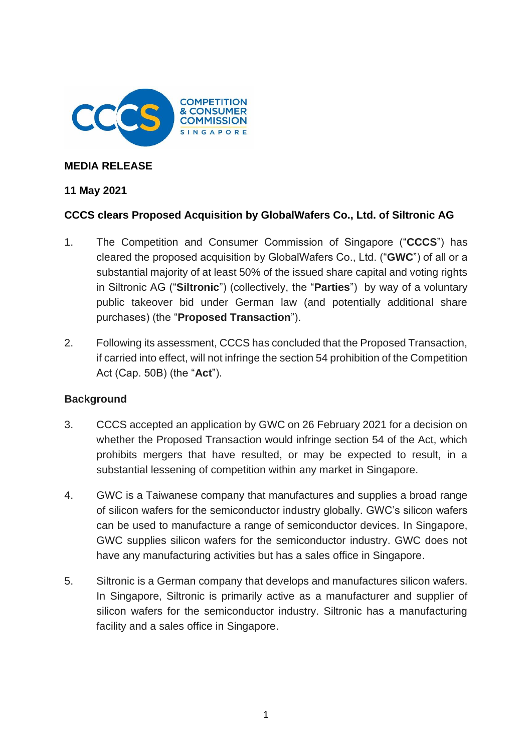

### **MEDIA RELEASE**

#### **11 May 2021**

# **CCCS clears Proposed Acquisition by GlobalWafers Co., Ltd. of Siltronic AG**

- 1. The Competition and Consumer Commission of Singapore ("**CCCS**") has cleared the proposed acquisition by GlobalWafers Co., Ltd. ("**GWC**") of all or a substantial majority of at least 50% of the issued share capital and voting rights in Siltronic AG ("**Siltronic**") (collectively, the "**Parties**") by way of a voluntary public takeover bid under German law (and potentially additional share purchases) (the "**Proposed Transaction**").
- 2. Following its assessment, CCCS has concluded that the Proposed Transaction, if carried into effect, will not infringe the section 54 prohibition of the Competition Act (Cap. 50B) (the "**Act**").

# **Background**

- 3. CCCS accepted an application by GWC on 26 February 2021 for a decision on whether the Proposed Transaction would infringe section 54 of the Act, which prohibits mergers that have resulted, or may be expected to result, in a substantial lessening of competition within any market in Singapore.
- 4. GWC is a Taiwanese company that manufactures and supplies a broad range of silicon wafers for the semiconductor industry globally. GWC's silicon wafers can be used to manufacture a range of semiconductor devices. In Singapore, GWC supplies silicon wafers for the semiconductor industry. GWC does not have any manufacturing activities but has a sales office in Singapore.
- 5. Siltronic is a German company that develops and manufactures silicon wafers. In Singapore, Siltronic is primarily active as a manufacturer and supplier of silicon wafers for the semiconductor industry. Siltronic has a manufacturing facility and a sales office in Singapore.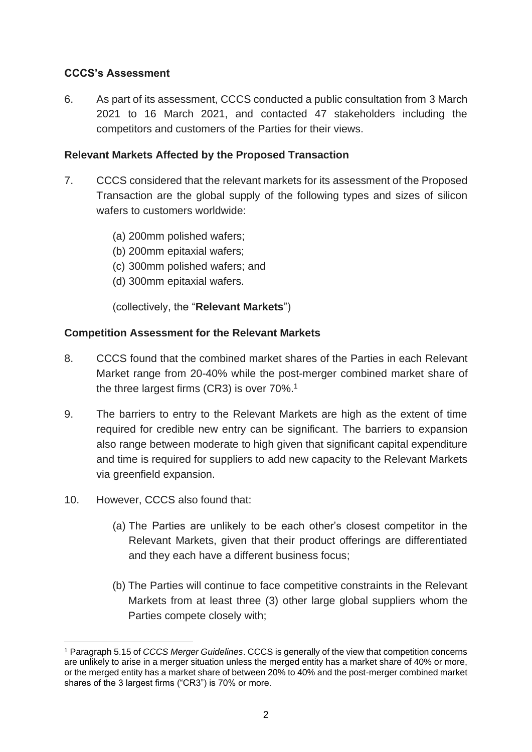# **CCCS's Assessment**

6. As part of its assessment, CCCS conducted a public consultation from 3 March 2021 to 16 March 2021, and contacted 47 stakeholders including the competitors and customers of the Parties for their views.

### **Relevant Markets Affected by the Proposed Transaction**

- 7. CCCS considered that the relevant markets for its assessment of the Proposed Transaction are the global supply of the following types and sizes of silicon wafers to customers worldwide:
	- (a) 200mm polished wafers;
	- (b) 200mm epitaxial wafers;
	- (c) 300mm polished wafers; and
	- (d) 300mm epitaxial wafers.

(collectively, the "**Relevant Markets**")

#### **Competition Assessment for the Relevant Markets**

- 8. CCCS found that the combined market shares of the Parties in each Relevant Market range from 20-40% while the post-merger combined market share of the three largest firms (CR3) is over 70%. 1
- 9. The barriers to entry to the Relevant Markets are high as the extent of time required for credible new entry can be significant. The barriers to expansion also range between moderate to high given that significant capital expenditure and time is required for suppliers to add new capacity to the Relevant Markets via greenfield expansion.
- 10. However, CCCS also found that:
	- (a) The Parties are unlikely to be each other's closest competitor in the Relevant Markets, given that their product offerings are differentiated and they each have a different business focus;
	- (b) The Parties will continue to face competitive constraints in the Relevant Markets from at least three (3) other large global suppliers whom the Parties compete closely with;

<sup>1</sup> Paragraph 5.15 of *CCCS Merger Guidelines*. CCCS is generally of the view that competition concerns are unlikely to arise in a merger situation unless the merged entity has a market share of 40% or more, or the merged entity has a market share of between 20% to 40% and the post-merger combined market shares of the 3 largest firms ("CR3") is 70% or more.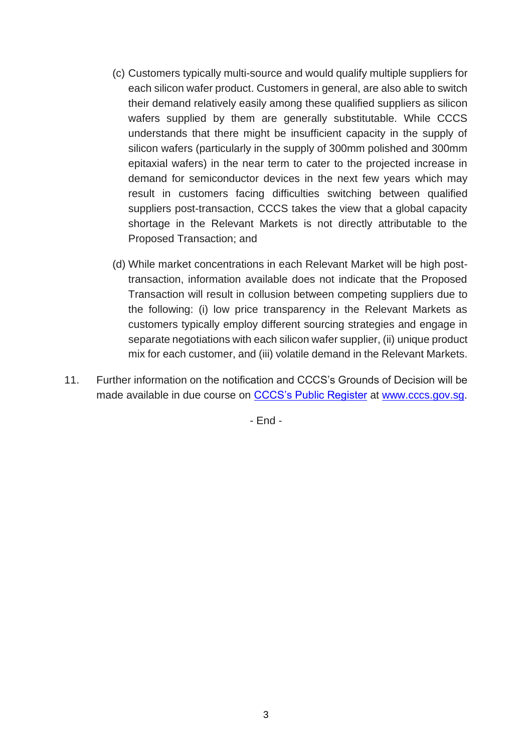- (c) Customers typically multi-source and would qualify multiple suppliers for each silicon wafer product. Customers in general, are also able to switch their demand relatively easily among these qualified suppliers as silicon wafers supplied by them are generally substitutable. While CCCS understands that there might be insufficient capacity in the supply of silicon wafers (particularly in the supply of 300mm polished and 300mm epitaxial wafers) in the near term to cater to the projected increase in demand for semiconductor devices in the next few years which may result in customers facing difficulties switching between qualified suppliers post-transaction, CCCS takes the view that a global capacity shortage in the Relevant Markets is not directly attributable to the Proposed Transaction; and
- (d) While market concentrations in each Relevant Market will be high posttransaction, information available does not indicate that the Proposed Transaction will result in collusion between competing suppliers due to the following: (i) low price transparency in the Relevant Markets as customers typically employ different sourcing strategies and engage in separate negotiations with each silicon wafer supplier, (ii) unique product mix for each customer, and (iii) volatile demand in the Relevant Markets.
- 11. Further information on the notification and CCCS's Grounds of Decision will be made available in due course on [CCCS's Public Register](https://www.cccs.gov.sg/cases-and-commitments/public-register) at [www.cccs.gov.sg.](http://www.cccs.gov.sg/)

- End -